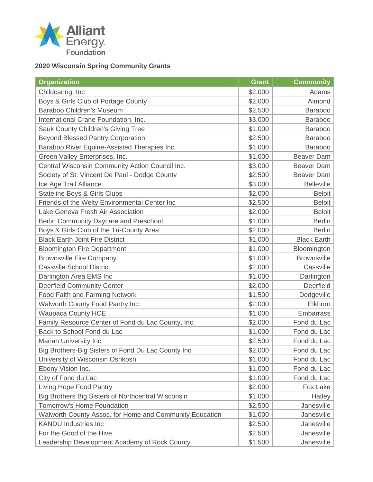

## **2020 Wisconsin Spring Community Grants**

| <b>Organization</b>                                     | <b>Grant</b> | <b>Community</b>   |
|---------------------------------------------------------|--------------|--------------------|
| Childcaring, Inc.                                       | \$2,000      | Adams              |
| Boys & Girls Club of Portage County                     | \$2,000      | Almond             |
| Baraboo Children's Museum                               | \$2,500      | <b>Baraboo</b>     |
| International Crane Foundation, Inc.                    | \$3,000      | <b>Baraboo</b>     |
| Sauk County Children's Giving Tree                      | \$1,000      | <b>Baraboo</b>     |
| <b>Beyond Blessed Pantry Corporation</b>                | \$2,500      | <b>Baraboo</b>     |
| Baraboo River Equine-Assisted Therapies Inc.            | \$1,000      | <b>Baraboo</b>     |
| Green Valley Enterprises, Inc.                          | \$1,000      | <b>Beaver Dam</b>  |
| Central Wisconsin Community Action Council Inc.         | \$3,000      | <b>Beaver Dam</b>  |
| Society of St. Vincent De Paul - Dodge County           | \$2,500      | <b>Beaver Dam</b>  |
| Ice Age Trail Alliance                                  | \$3,000      | <b>Belleville</b>  |
| <b>Stateline Boys &amp; Girls Clubs</b>                 | \$2,000      | <b>Beloit</b>      |
| Friends of the Welty Environmental Center Inc           | \$2,500      | <b>Beloit</b>      |
| Lake Geneva Fresh Air Association                       | \$2,000      | <b>Beloit</b>      |
| Berlin Community Daycare and Preschool                  | \$1,000      | <b>Berlin</b>      |
| Boys & Girls Club of the Tri-County Area                | \$2,000      | <b>Berlin</b>      |
| <b>Black Earth Joint Fire District</b>                  | \$1,000      | <b>Black Earth</b> |
| <b>Bloomington Fire Department</b>                      | \$1,000      | Bloomington        |
| <b>Brownsville Fire Company</b>                         | \$1,000      | <b>Brownsville</b> |
| <b>Cassville School District</b>                        | \$2,000      | Cassville          |
| Darlington Area EMS Inc                                 | \$1,000      | Darlington         |
| <b>Deerfield Community Center</b>                       | \$2,000      | Deerfield          |
| <b>Food Faith and Farming Network</b>                   | \$1,500      | Dodgeville         |
| Walworth County Food Pantry Inc.                        | \$2,000      | Elkhorn            |
| <b>Waupaca County HCE</b>                               | \$1,000      | <b>Embarrass</b>   |
| Family Resource Center of Fond du Lac County, Inc.      | \$2,000      | Fond du Lac        |
| Back to School Fond du Lac                              | \$1,000      | Fond du Lac        |
| Marian University Inc                                   | \$2,500      | Fond du Lac        |
| Big Brothers-Big Sisters of Fond Du Lac County Inc      | \$2,000      | Fond du Lac        |
| University of Wisconsin Oshkosh                         | \$1,000      | Fond du Lac        |
| Ebony Vision Inc.                                       | \$1,000      | Fond du Lac        |
| City of Fond du Lac                                     | \$1,000      | Fond du Lac        |
| Living Hope Food Pantry                                 | \$2,000      | Fox Lake           |
| Big Brothers Big Sisters of Northcentral Wisconsin      | \$1,000      | Hatley             |
| Tomorrow's Home Foundation                              | \$2,500      | Janesville         |
| Walworth County Assoc. for Home and Community Education | \$1,000      | Janesville         |
| <b>KANDU Industries Inc</b>                             | \$2,500      | Janesville         |
| For the Good of the Hive                                | \$2,500      | Janesville         |
| Leadership Development Academy of Rock County           | \$1,500      | Janesville         |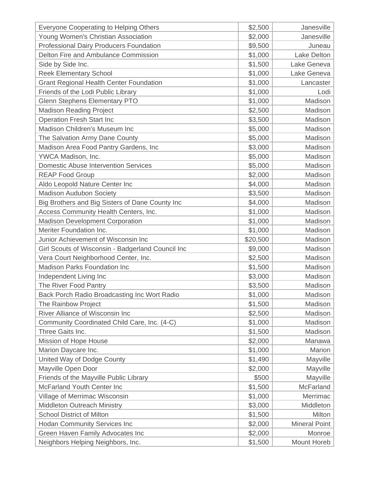| <b>Everyone Cooperating to Helping Others</b>     | \$2,500  | Janesville           |
|---------------------------------------------------|----------|----------------------|
| Young Women's Christian Association               | \$2,000  | Janesville           |
| <b>Professional Dairy Producers Foundation</b>    | \$9,500  | Juneau               |
| Delton Fire and Ambulance Commission              | \$1,000  | <b>Lake Delton</b>   |
| Side by Side Inc.                                 | \$1,500  | Lake Geneva          |
| <b>Reek Elementary School</b>                     | \$1,000  | Lake Geneva          |
| <b>Grant Regional Health Center Foundation</b>    | \$1,000  | Lancaster            |
| Friends of the Lodi Public Library                | \$1,000  | Lodi                 |
| <b>Glenn Stephens Elementary PTO</b>              | \$1,000  | Madison              |
| <b>Madison Reading Project</b>                    | \$2,500  | Madison              |
| <b>Operation Fresh Start Inc</b>                  | \$3,500  | Madison              |
| Madison Children's Museum Inc                     | \$5,000  | Madison              |
| The Salvation Army Dane County                    | \$5,000  | Madison              |
| Madison Area Food Pantry Gardens, Inc             | \$3,000  | Madison              |
| YWCA Madison, Inc.                                | \$5,000  | Madison              |
| <b>Domestic Abuse Intervention Services</b>       | \$5,000  | Madison              |
| <b>REAP Food Group</b>                            | \$2,000  | Madison              |
| Aldo Leopold Nature Center Inc                    | \$4,000  | Madison              |
| <b>Madison Audubon Society</b>                    | \$3,500  | Madison              |
| Big Brothers and Big Sisters of Dane County Inc   | \$4,000  | Madison              |
| Access Community Health Centers, Inc.             | \$1,000  | Madison              |
| <b>Madison Development Corporation</b>            | \$1,000  | Madison              |
| Meriter Foundation Inc.                           | \$1,000  | Madison              |
| Junior Achievement of Wisconsin Inc               | \$20,500 | Madison              |
| Girl Scouts of Wisconsin - Badgerland Council Inc | \$9,000  | Madison              |
| Vera Court Neighborhood Center, Inc.              | \$2,500  | Madison              |
| <b>Madison Parks Foundation Inc</b>               | \$1,500  | Madison              |
| Independent Living Inc                            | \$3,000  | Madison              |
| The River Food Pantry                             | \$3,500  | Madison              |
| Back Porch Radio Broadcasting Inc Wort Radio      | \$1,000  | Madison              |
| The Rainbow Project                               | \$1,500  | Madison              |
| River Alliance of Wisconsin Inc                   | \$2,500  | Madison              |
| Community Coordinated Child Care, Inc. (4-C)      | \$1,000  | Madison              |
| Three Gaits Inc.                                  | \$1,500  | Madison              |
| Mission of Hope House                             | \$2,000  | Manawa               |
| Marion Daycare Inc.                               | \$1,000  | Marion               |
| United Way of Dodge County                        | \$1,490  | Mayville             |
| Mayville Open Door                                | \$2,000  | Mayville             |
| Friends of the Mayville Public Library            | \$500    | Mayville             |
| McFarland Youth Center Inc                        | \$1,500  | <b>McFarland</b>     |
| Village of Merrimac Wisconsin                     | \$1,000  | Merrimac             |
| <b>Middleton Outreach Ministry</b>                | \$3,000  | Middleton            |
| <b>School District of Milton</b>                  | \$1,500  | Milton               |
| <b>Hodan Community Services Inc</b>               | \$2,000  | <b>Mineral Point</b> |
| Green Haven Family Advocates Inc                  | \$2,000  | Monroe               |
| Neighbors Helping Neighbors, Inc.                 | \$1,500  | Mount Horeb          |